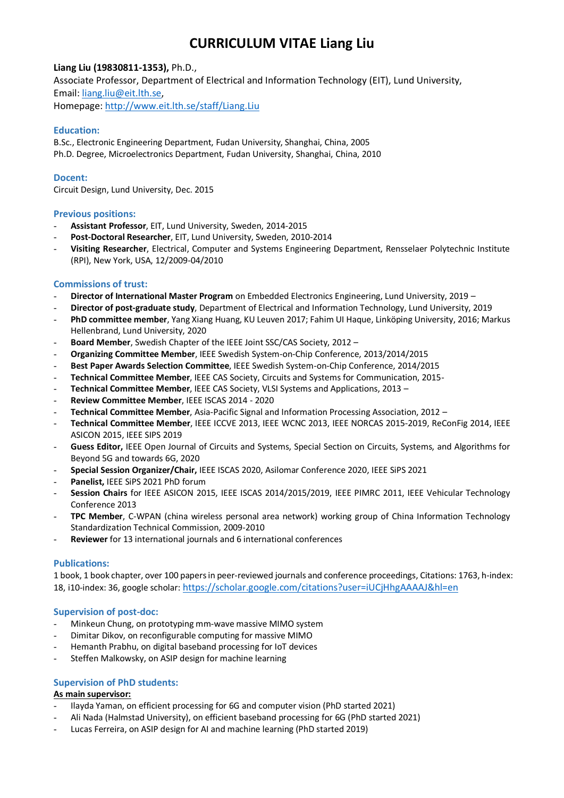# **CURRICULUM VITAE Liang Liu**

# **Liang Liu (19830811-1353),** Ph.D.,

Associate Professor, Department of Electrical and Information Technology (EIT), Lund University, Email[: liang.liu@eit.lth.se,](mailto:liang.liu@eit.lth.se) Homepage[: http://www.eit.lth.se/staff/Liang.Liu](http://www.eit.lth.se/staff/Liang.Liu)

#### **Education:**

B.Sc., Electronic Engineering Department, Fudan University, Shanghai, China, 2005 Ph.D. Degree, Microelectronics Department, Fudan University, Shanghai, China, 2010

#### **Docent:**

Circuit Design, Lund University, Dec. 2015

#### **Previous positions:**

- **Assistant Professor**, EIT, Lund University, Sweden, 2014-2015
- **Post-Doctoral Researcher**, EIT, Lund University, Sweden, 2010-2014
- **Visiting Researcher**, Electrical, Computer and Systems Engineering Department, Rensselaer Polytechnic Institute (RPI), New York, USA, 12/2009-04/2010

#### **Commissions of trust:**

- **Director of International Master Program** on Embedded Electronics Engineering, Lund University, 2019 –
- **Director of post-graduate study**, Department of Electrical and Information Technology, Lund University, 2019
- **PhD committee member**, Yang Xiang Huang, KU Leuven 2017; Fahim UI Haque, Linköping University, 2016; Markus Hellenbrand, Lund University, 2020
- **Board Member**, Swedish Chapter of the IEEE Joint SSC/CAS Society, 2012 –
- **Organizing Committee Member**, IEEE Swedish System-on-Chip Conference, 2013/2014/2015
- **Best Paper Awards Selection Committee**, IEEE Swedish System-on-Chip Conference, 2014/2015
- **Technical Committee Member**, IEEE CAS Society, Circuits and Systems for Communication, 2015-
- **Technical Committee Member**, IEEE CAS Society, VLSI Systems and Applications, 2013 –
- **Review Committee Member**, IEEE ISCAS 2014 2020
- **Technical Committee Member**, Asia-Pacific Signal and Information Processing Association, 2012 –
- **Technical Committee Member**, IEEE ICCVE 2013, IEEE WCNC 2013, IEEE NORCAS 2015-2019, ReConFig 2014, IEEE ASICON 2015, IEEE SIPS 2019
- **Guess Editor,** IEEE Open Journal of Circuits and Systems, Special Section on Circuits, Systems, and Algorithms for Beyond 5G and towards 6G, 2020
- **Special Session Organizer/Chair,** IEEE ISCAS 2020, Asilomar Conference 2020, IEEE SiPS 2021
- Panelist, IEEE SiPS 2021 PhD forum
- **Session Chairs** for IEEE ASICON 2015, IEEE ISCAS 2014/2015/2019, IEEE PIMRC 2011, IEEE Vehicular Technology Conference 2013
- TPC Member, C-WPAN (china wireless personal area network) working group of China Information Technology Standardization Technical Commission, 2009-2010
- Reviewer for 13 international journals and 6 international conferences

## **Publications:**

1 book, 1 book chapter, over 100 papers in peer-reviewed journals and conference proceedings, Citations: 1763, h-index: 18, i10-index: 36, google scholar: <https://scholar.google.com/citations?user=iUCjHhgAAAAJ&hl=en>

## **Supervision of post-doc:**

- Minkeun Chung, on prototyping mm-wave massive MIMO system
- Dimitar Dikov, on reconfigurable computing for massive MIMO
- Hemanth Prabhu, on digital baseband processing for IoT devices
- Steffen Malkowsky, on ASIP design for machine learning

## **Supervision of PhD students:**

#### **As main supervisor:**

- Ilayda Yaman, on efficient processing for 6G and computer vision (PhD started 2021)
- Ali Nada (Halmstad University), on efficient baseband processing for 6G (PhD started 2021)
- Lucas Ferreira, on ASIP design for AI and machine learning (PhD started 2019)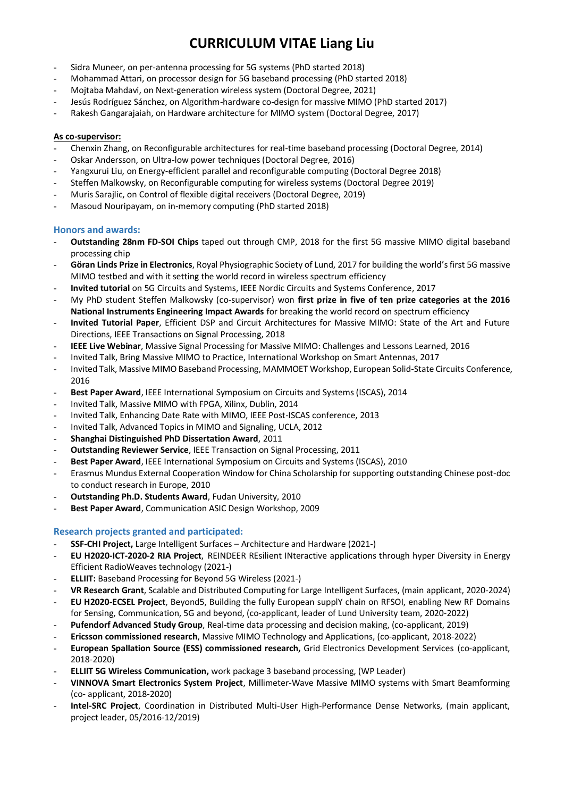# **CURRICULUM VITAE Liang Liu**

- Sidra Muneer, on per-antenna processing for 5G systems (PhD started 2018)
- Mohammad Attari, on processor design for 5G baseband processing (PhD started 2018)
- Mojtaba Mahdavi, on Next-generation wireless system (Doctoral Degree, 2021)
- Jesús Rodríguez Sánchez, on Algorithm-hardware co-design for massive MIMO (PhD started 2017)
- Rakesh Gangarajaiah, on Hardware architecture for MIMO system (Doctoral Degree, 2017)

## **As co-supervisor:**

- Chenxin Zhang, on Reconfigurable architectures for real-time baseband processing (Doctoral Degree, 2014)
- Oskar Andersson, on Ultra-low power techniques (Doctoral Degree, 2016)
- Yangxurui Liu, on Energy-efficient parallel and reconfigurable computing (Doctoral Degree 2018)
- Steffen Malkowsky, on Reconfigurable computing for wireless systems (Doctoral Degree 2019)
- Muris Sarajlic, on Control of flexible digital receivers (Doctoral Degree, 2019)
- Masoud Nouripayam, on in-memory computing (PhD started 2018)

## **Honors and awards:**

- **Outstanding 28nm FD-SOI Chips** taped out through CMP, 2018 for the first 5G massive MIMO digital baseband processing chip
- **Göran Linds Prize in Electronics**, Royal Physiographic Society of Lund, 2017 for building the world's first 5G massive MIMO testbed and with it setting the world record in wireless spectrum efficiency
- **Invited tutorial** on 5G Circuits and Systems, IEEE Nordic Circuits and Systems Conference, 2017
- My PhD student Steffen Malkowsky (co-supervisor) won **first prize in five of ten prize categories at the 2016 National Instruments Engineering Impact Awards** for breaking the world record on spectrum efficiency
- **Invited Tutorial Paper**, Efficient DSP and Circuit Architectures for Massive MIMO: State of the Art and Future Directions, IEEE Transactions on Signal Processing, 2018
- **IEEE Live Webinar**, Massive Signal Processing for Massive MIMO: Challenges and Lessons Learned, 2016
- Invited Talk, Bring Massive MIMO to Practice, International Workshop on Smart Antennas, 2017
- Invited Talk, Massive MIMO Baseband Processing, MAMMOET Workshop, European Solid-State Circuits Conference, 2016
- **Best Paper Award**, IEEE International Symposium on Circuits and Systems (ISCAS), 2014
- Invited Talk, Massive MIMO with FPGA, Xilinx, Dublin, 2014
- Invited Talk, Enhancing Date Rate with MIMO, IEEE Post-ISCAS conference, 2013
- Invited Talk, Advanced Topics in MIMO and Signaling, UCLA, 2012
- **Shanghai Distinguished PhD Dissertation Award**, 2011
- **Outstanding Reviewer Service**, IEEE Transaction on Signal Processing, 2011
- **Best Paper Award**, IEEE International Symposium on Circuits and Systems (ISCAS), 2010
- Erasmus Mundus External Cooperation Window for China Scholarship for supporting outstanding Chinese post-doc to conduct research in Europe, 2010
- **Outstanding Ph.D. Students Award**, Fudan University, 2010
- **Best Paper Award**, Communication ASIC Design Workshop, 2009

# **Research projects granted and participated:**

- **SSF-CHI Project,** Large Intelligent Surfaces Architecture and Hardware (2021-)
- **EU H2020-ICT-2020-2 RIA Project**, REINDEER REsilient INteractive applications through hyper Diversity in Energy Efficient RadioWeaves technology (2021-)
- **ELLIIT:** Baseband Processing for Beyond 5G Wireless (2021-)
- **VR Research Grant**, Scalable and Distributed Computing for Large Intelligent Surfaces, (main applicant, 2020-2024)
- **EU H2020-ECSEL Project**, Beyond5, Building the fully European supplY chain on RFSOI, enabling New RF Domains for Sensing, Communication, 5G and beyond, (co-applicant, leader of Lund University team, 2020-2022)
- **Pufendorf Advanced Study Group**, Real-time data processing and decision making, (co-applicant, 2019)
- **Ericsson commissioned research**, Massive MIMO Technology and Applications, (co-applicant, 2018-2022)
- **European Spallation Source (ESS) commissioned research,** Grid Electronics Development Services (co-applicant, 2018-2020)
- **ELLIIT 5G Wireless Communication,** work package 3 baseband processing, (WP Leader)
- **VINNOVA Smart Electronics System Project**, Millimeter-Wave Massive MIMO systems with Smart Beamforming (co- applicant, 2018-2020)
- **Intel-SRC Project**, Coordination in Distributed Multi-User High-Performance Dense Networks, (main applicant, project leader, 05/2016-12/2019)